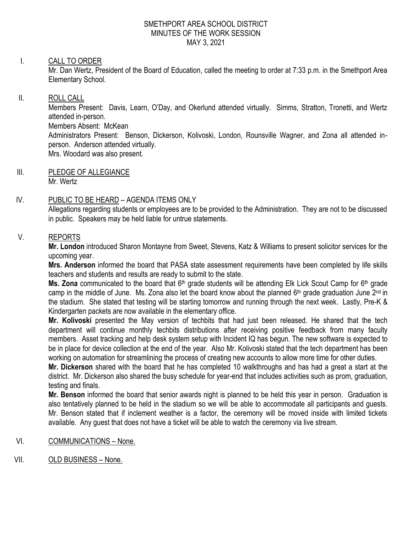#### SMETHPORT AREA SCHOOL DISTRICT MINUTES OF THE WORK SESSION MAY 3, 2021

# I. CALL TO ORDER

Mr. Dan Wertz, President of the Board of Education, called the meeting to order at 7:33 p.m. in the Smethport Area Elementary School.

### II. ROLL CALL

Members Present: Davis, Learn, O'Day, and Okerlund attended virtually. Simms, Stratton, Tronetti, and Wertz attended in-person.

Members Absent: McKean

Administrators Present: Benson, Dickerson, Kolivoski, London, Rounsville Wagner, and Zona all attended inperson. Anderson attended virtually.

Mrs. Woodard was also present.

III. PLEDGE OF ALLEGIANCE Mr. Wertz

## IV. PUBLIC TO BE HEARD – AGENDA ITEMS ONLY

Allegations regarding students or employees are to be provided to the Administration. They are not to be discussed in public. Speakers may be held liable for untrue statements.

### V. REPORTS

**Mr. London** introduced Sharon Montayne from Sweet, Stevens, Katz & Williams to present solicitor services for the upcoming year.

**Mrs. Anderson** informed the board that PASA state assessment requirements have been completed by life skills teachers and students and results are ready to submit to the state.

Ms. Zona communicated to the board that 6<sup>th</sup> grade students will be attending Elk Lick Scout Camp for 6<sup>th</sup> grade camp in the middle of June. Ms. Zona also let the board know about the planned 6<sup>th</sup> grade graduation June 2<sup>nd</sup> in the stadium. She stated that testing will be starting tomorrow and running through the next week. Lastly, Pre-K & Kindergarten packets are now available in the elementary office.

**Mr. Kolivoski** presented the May version of techbits that had just been released. He shared that the tech department will continue monthly techbits distributions after receiving positive feedback from many faculty members. Asset tracking and help desk system setup with Incident IQ has begun. The new software is expected to be in place for device collection at the end of the year. Also Mr. Kolivoski stated that the tech department has been working on automation for streamlining the process of creating new accounts to allow more time for other duties.

**Mr. Dickerson** shared with the board that he has completed 10 walkthroughs and has had a great a start at the district. Mr. Dickerson also shared the busy schedule for year-end that includes activities such as prom, graduation, testing and finals.

**Mr. Benson** informed the board that senior awards night is planned to be held this year in person. Graduation is also tentatively planned to be held in the stadium so we will be able to accommodate all participants and guests. Mr. Benson stated that if inclement weather is a factor, the ceremony will be moved inside with limited tickets available. Any guest that does not have a ticket will be able to watch the ceremony via live stream.

- VI. COMMUNICATIONS None.
- VII. OLD BUSINESS None.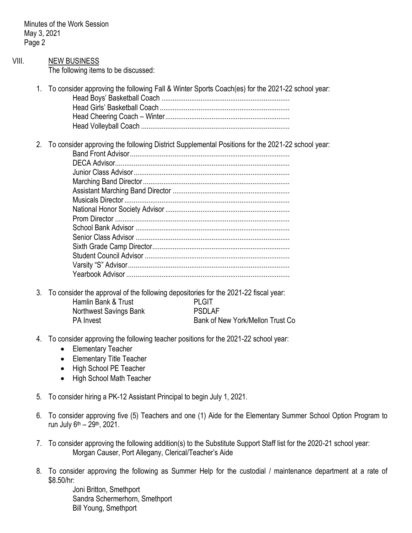Minutes of the Work Session May 3, 2021 Page 2

|       | ⊥ uyu ∟ |                                                                                                                                                                                                                               |
|-------|---------|-------------------------------------------------------------------------------------------------------------------------------------------------------------------------------------------------------------------------------|
| VIII. |         | <b>NEW BUSINESS</b><br>The following items to be discussed:                                                                                                                                                                   |
|       | $1_{-}$ | To consider approving the following Fall & Winter Sports Coach(es) for the 2021-22 school year:                                                                                                                               |
|       | 2.      | To consider approving the following District Supplemental Positions for the 2021-22 school year:                                                                                                                              |
|       | 3.      | To consider the approval of the following depositories for the 2021-22 fiscal year:<br>Hamlin Bank & Trust<br><b>PLGIT</b><br><b>PSDLAF</b><br>Northwest Savings Bank<br>Bank of New York/Mellon Trust Co<br><b>PA</b> Invest |
|       |         | 4. To consider approving the following teacher positions for the 2021-22 school year:<br><b>Elementary Teacher</b><br><b>Elementary Title Teacher</b><br>High School PE Teacher<br>High School Math Teacher                   |
|       | 5.      | To consider hiring a PK-12 Assistant Principal to begin July 1, 2021.                                                                                                                                                         |
|       | 6.      | To consider approving five (5) Teachers and one (1) Aide for the Elementary Summer School Option Program to<br>run July 6 <sup>th</sup> - 29 <sup>th</sup> , 2021.                                                            |
|       | 7.      | To consider approving the following addition(s) to the Substitute Support Staff list for the 2020-21 school year:<br>Morgan Causer, Port Allegany, Clerical/Teacher's Aide                                                    |

8. To consider approving the following as Summer Help for the custodial / maintenance department at a rate of \$8.50/hr:

Joni Britton, Smethport Sandra Schermerhorn, Smethport Bill Young, Smethport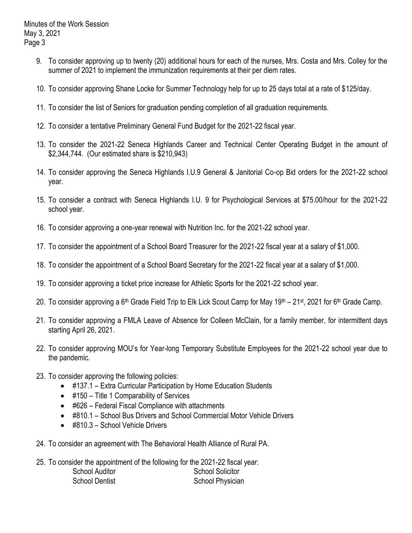- 9. To consider approving up to twenty (20) additional hours for each of the nurses, Mrs. Costa and Mrs. Colley for the summer of 2021 to implement the immunization requirements at their per diem rates.
- 10. To consider approving Shane Locke for Summer Technology help for up to 25 days total at a rate of \$125/day.
- 11. To consider the list of Seniors for graduation pending completion of all graduation requirements.
- 12. To consider a tentative Preliminary General Fund Budget for the 2021-22 fiscal year.
- 13. To consider the 2021-22 Seneca Highlands Career and Technical Center Operating Budget in the amount of \$2,344,744. (Our estimated share is \$210,943)
- 14. To consider approving the Seneca Highlands I.U.9 General & Janitorial Co-op Bid orders for the 2021-22 school year.
- 15. To consider a contract with Seneca Highlands I.U. 9 for Psychological Services at \$75.00/hour for the 2021-22 school year.
- 16. To consider approving a one-year renewal with Nutrition Inc. for the 2021-22 school year.
- 17. To consider the appointment of a School Board Treasurer for the 2021-22 fiscal year at a salary of \$1,000.
- 18. To consider the appointment of a School Board Secretary for the 2021-22 fiscal year at a salary of \$1,000.
- 19. To consider approving a ticket price increase for Athletic Sports for the 2021-22 school year.
- 20. To consider approving a 6<sup>th</sup> Grade Field Trip to Elk Lick Scout Camp for May 19<sup>th</sup> 21<sup>st</sup>, 2021 for 6<sup>th</sup> Grade Camp.
- 21. To consider approving a FMLA Leave of Absence for Colleen McClain, for a family member, for intermittent days starting April 26, 2021.
- 22. To consider approving MOU's for Year-long Temporary Substitute Employees for the 2021-22 school year due to the pandemic.
- 23. To consider approving the following policies:
	- #137.1 Extra Curricular Participation by Home Education Students
	- #150 Title 1 Comparability of Services
	- #626 Federal Fiscal Compliance with attachments
	- #810.1 School Bus Drivers and School Commercial Motor Vehicle Drivers
	- #810.3 School Vehicle Drivers
- 24. To consider an agreement with The Behavioral Health Alliance of Rural PA.
- 25. To consider the appointment of the following for the 2021-22 fiscal year: School Auditor **School Solicitor** School Solicitor School Dentist School Physician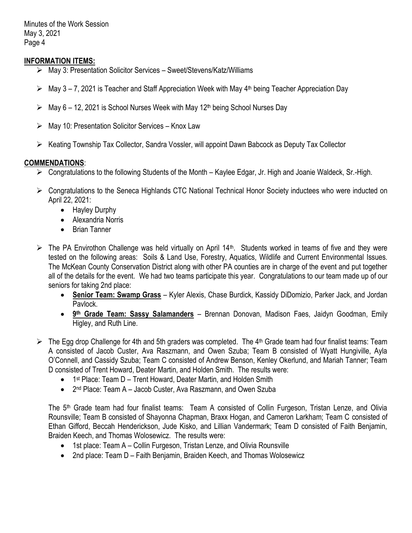Minutes of the Work Session May 3, 2021 Page 4

### **INFORMATION ITEMS:**

- May 3: Presentation Solicitor Services Sweet/Stevens/Katz/Williams
- $\triangleright$  May 3 7, 2021 is Teacher and Staff Appreciation Week with May 4<sup>th</sup> being Teacher Appreciation Day
- $\triangleright$  May 6 12, 2021 is School Nurses Week with May 12<sup>th</sup> being School Nurses Day
- $\triangleright$  May 10: Presentation Solicitor Services Knox Law
- $\triangleright$  Keating Township Tax Collector, Sandra Vossler, will appoint Dawn Babcock as Deputy Tax Collector

# **COMMENDATIONS**:

- Congratulations to the following Students of the Month Kaylee Edgar, Jr. High and Joanie Waldeck, Sr.-High.
- ► Congratulations to the Seneca Highlands CTC National Technical Honor Society inductees who were inducted on April 22, 2021:
	- Hayley Durphy
	- Alexandria Norris
	- Brian Tanner
- $\triangleright$  The PA Envirothon Challenge was held virtually on April 14<sup>th</sup>. Students worked in teams of five and they were tested on the following areas: Soils & Land Use, Forestry, Aquatics, Wildlife and Current Environmental Issues. The McKean County Conservation District along with other PA counties are in charge of the event and put together all of the details for the event. We had two teams participate this year. Congratulations to our team made up of our seniors for taking 2nd place:
	- **Senior Team: Swamp Grass** Kyler Alexis, Chase Burdick, Kassidy DiDomizio, Parker Jack, and Jordan Pavlock.
	- **9<sup>th</sup> Grade Team: Sassy Salamanders** Brennan Donovan, Madison Faes, Jaidyn Goodman, Emily Higley, and Ruth Line.
- $\triangleright$  The Egg drop Challenge for 4th and 5th graders was completed. The 4<sup>th</sup> Grade team had four finalist teams: Team A consisted of Jacob Custer, Ava Raszmann, and Owen Szuba; Team B consisted of Wyatt Hungiville, Ayla O'Connell, and Cassidy Szuba; Team C consisted of Andrew Benson, Kenley Okerlund, and Mariah Tanner; Team D consisted of Trent Howard, Deater Martin, and Holden Smith. The results were:
	- 1<sup>st</sup> Place: Team D Trent Howard, Deater Martin, and Holden Smith
	- 2<sup>nd</sup> Place: Team A Jacob Custer, Ava Raszmann, and Owen Szuba

The 5<sup>th</sup> Grade team had four finalist teams: Team A consisted of Collin Furgeson, Tristan Lenze, and Olivia Rounsville; Team B consisted of Shayonna Chapman, Braxx Hogan, and Cameron Larkham; Team C consisted of Ethan Gifford, Beccah Henderickson, Jude Kisko, and Lillian Vandermark; Team D consisted of Faith Benjamin, Braiden Keech, and Thomas Wolosewicz. The results were:

- 1st place: Team A Collin Furgeson, Tristan Lenze, and Olivia Rounsville
- 2nd place: Team D Faith Benjamin, Braiden Keech, and Thomas Wolosewicz